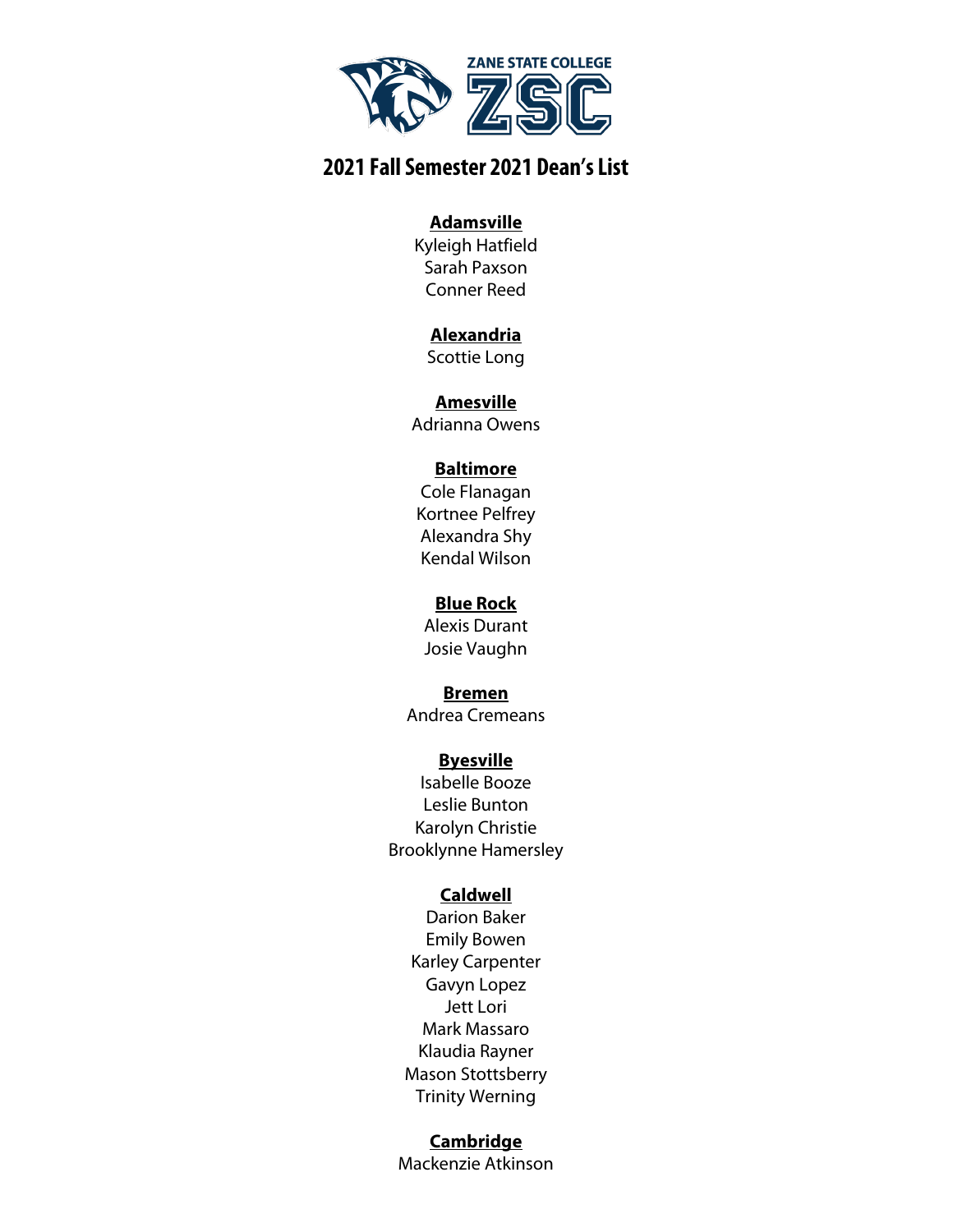

### **Adamsville**

Kyleigh Hatfield Sarah Paxson Conner Reed

# **Alexandria**

Scottie Long

# **Amesville**

Adrianna Owens

# **Baltimore**

Cole Flanagan Kortnee Pelfrey Alexandra Shy Kendal Wilson

# **Blue Rock**

Alexis Durant Josie Vaughn

# **Bremen**

Andrea Cremeans

# **Byesville**

Isabelle Booze Leslie Bunton Karolyn Christie Brooklynne Hamersley

## **Caldwell**

Darion Baker Emily Bowen Karley Carpenter Gavyn Lopez Jett Lori Mark Massaro Klaudia Rayner Mason Stottsberry Trinity Werning

## **Cambridge**

Mackenzie Atkinson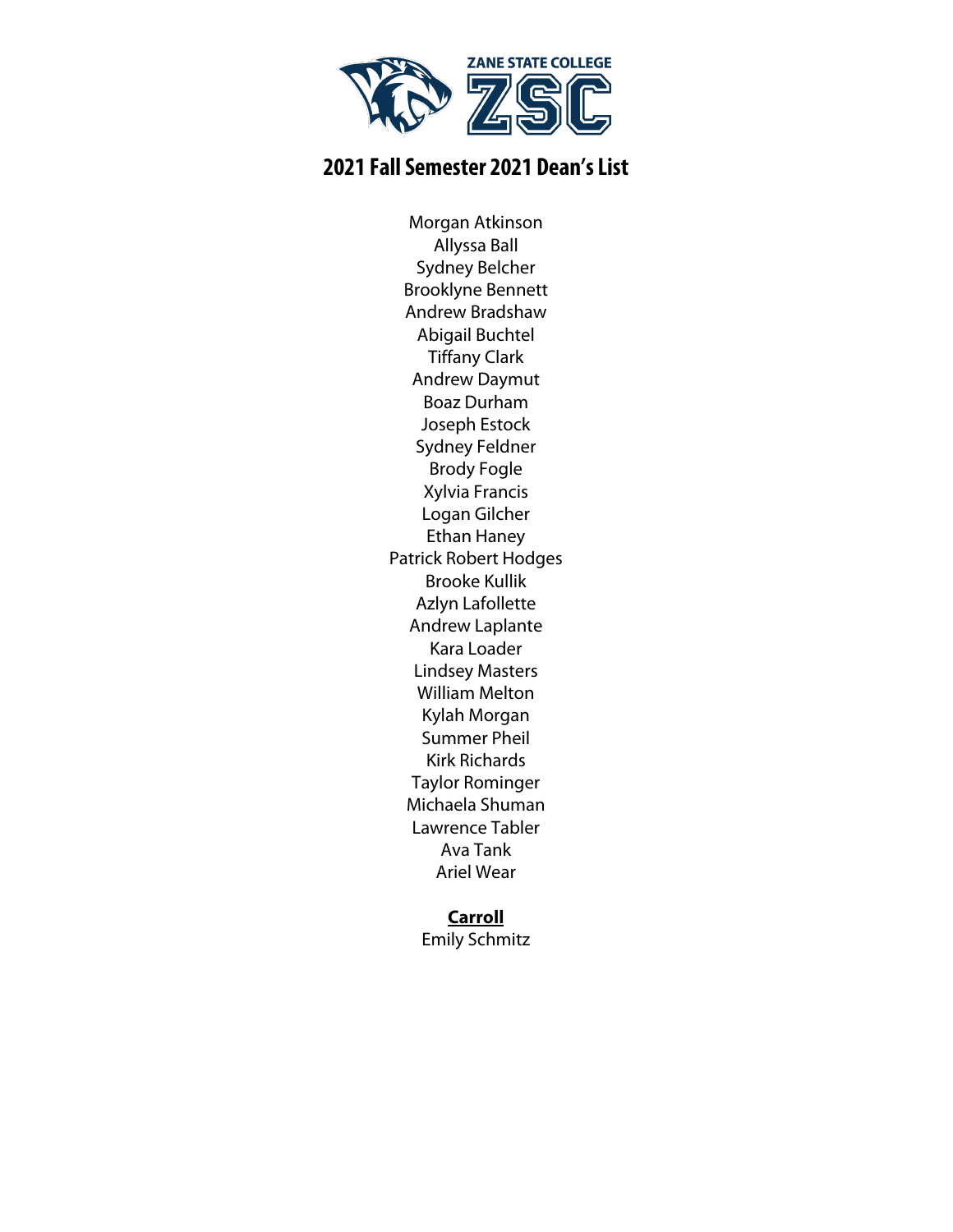

Morgan Atkinson Allyssa Ball Sydney Belcher Brooklyne Bennett Andrew Bradshaw Abigail Buchtel Tiffany Clark Andrew Daymut Boaz Durham Joseph Estock Sydney Feldner Brody Fogle Xylvia Francis Logan Gilcher Ethan Haney Patrick Robert Hodges Brooke Kullik Azlyn Lafollette Andrew Laplante Kara Loader Lindsey Masters William Melton Kylah Morgan Summer Pheil Kirk Richards Taylor Rominger Michaela Shuman Lawrence Tabler Ava Tank Ariel Wear

> **Carroll** Emily Schmitz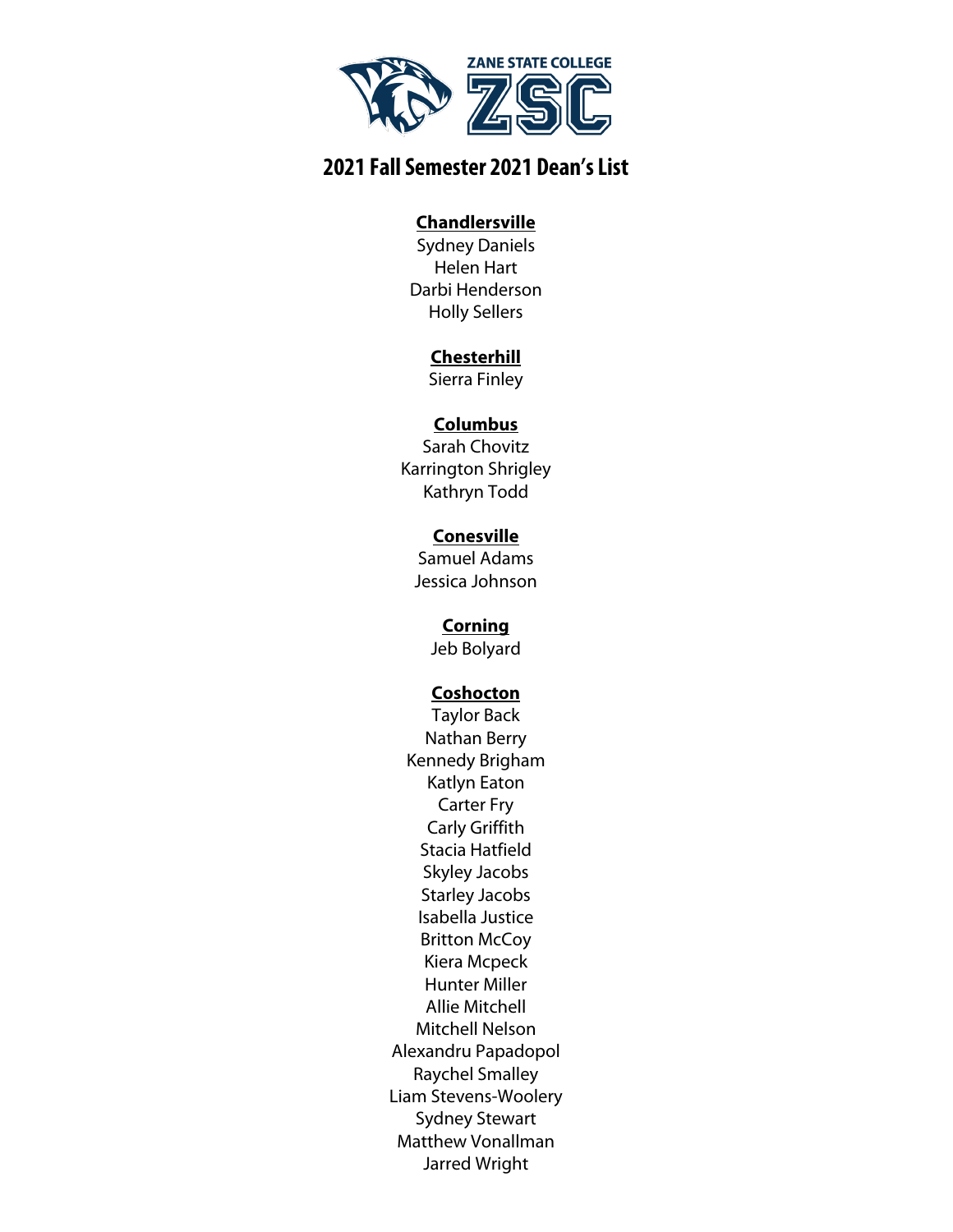

## **Chandlersville**

Sydney Daniels Helen Hart Darbi Henderson Holly Sellers

## **Chesterhill**

Sierra Finley

## **Columbus**

Sarah Chovitz Karrington Shrigley Kathryn Todd

## **Conesville**

Samuel Adams Jessica Johnson

# **Corning**

Jeb Bolyard

## **Coshocton**

Taylor Back Nathan Berry Kennedy Brigham Katlyn Eaton Carter Fry Carly Griffith Stacia Hatfield Skyley Jacobs Starley Jacobs Isabella Justice Britton McCoy Kiera Mcpeck Hunter Miller Allie Mitchell Mitchell Nelson Alexandru Papadopol Raychel Smalley Liam Stevens-Woolery Sydney Stewart Matthew Vonallman Jarred Wright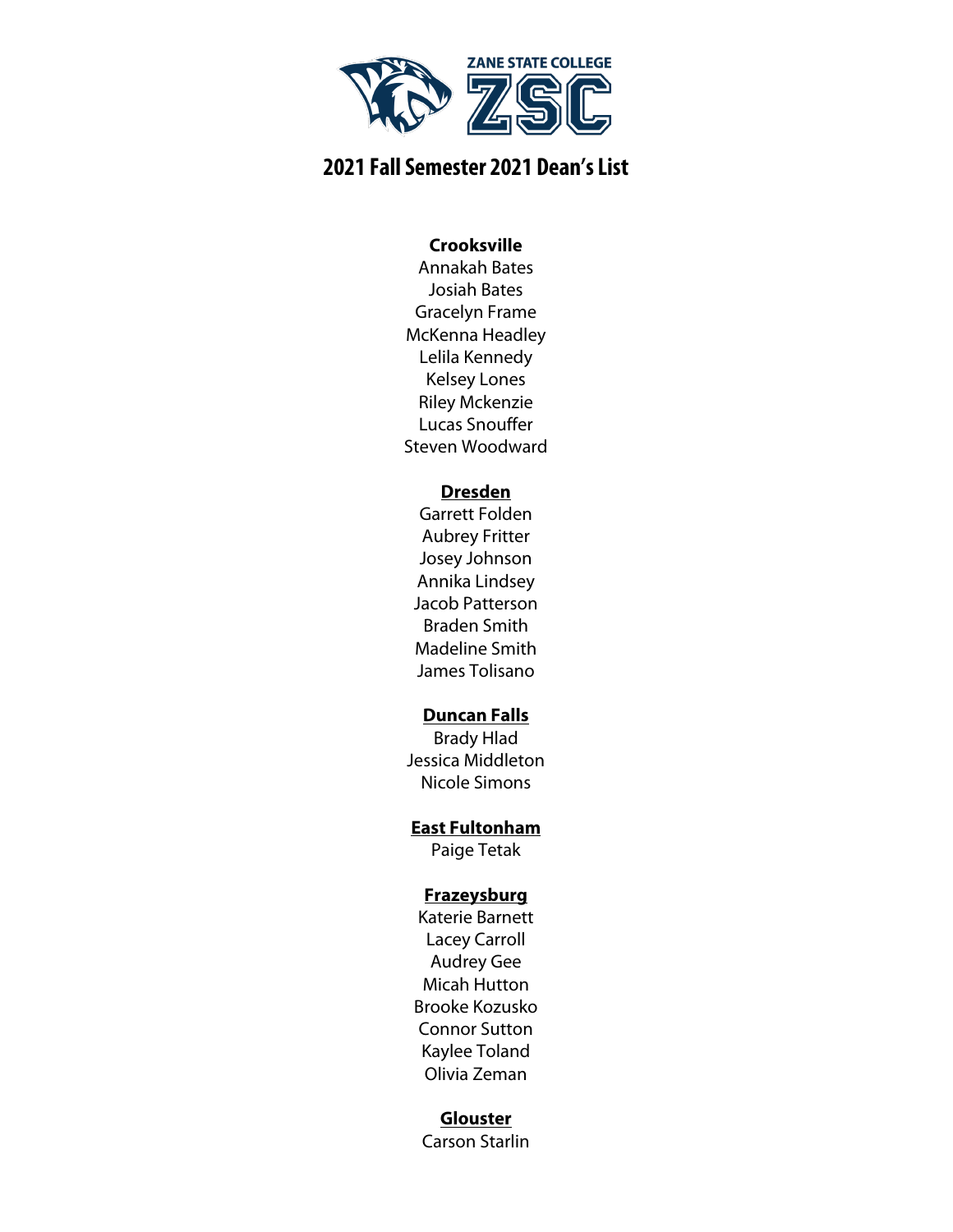

#### **Crooksville**

Annakah Bates Josiah Bates Gracelyn Frame McKenna Headley Lelila Kennedy Kelsey Lones Riley Mckenzie Lucas Snouffer Steven Woodward

#### **Dresden**

Garrett Folden Aubrey Fritter Josey Johnson Annika Lindsey Jacob Patterson Braden Smith Madeline Smith James Tolisano

### **Duncan Falls**

Brady Hlad Jessica Middleton Nicole Simons

### **East Fultonham**

Paige Tetak

## **Frazeysburg**

Katerie Barnett Lacey Carroll Audrey Gee Micah Hutton Brooke Kozusko Connor Sutton Kaylee Toland Olivia Zeman

### **Glouster**

Carson Starlin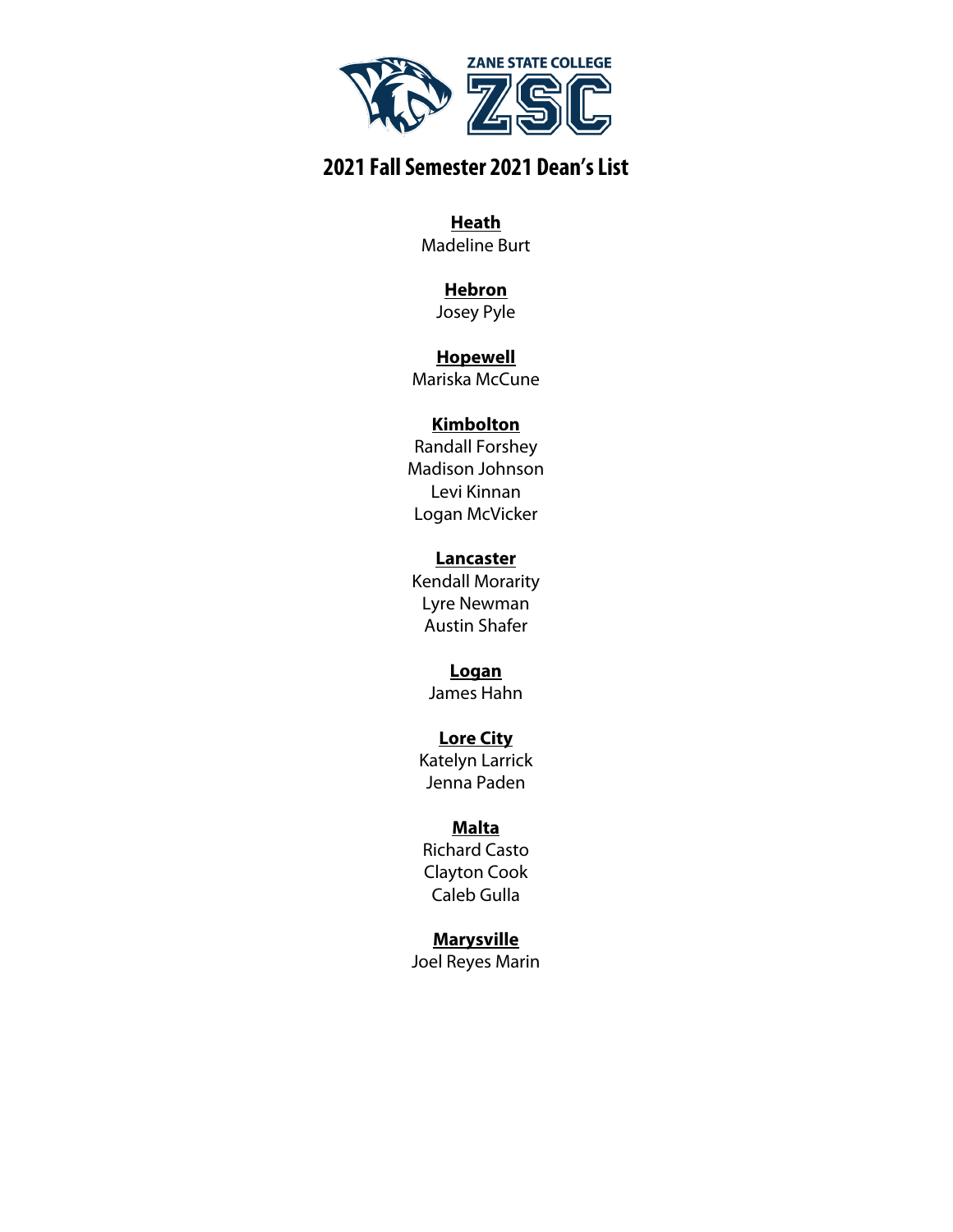

# **Heath**

Madeline Burt

# **Hebron**

Josey Pyle

# **Hopewell**

Mariska McCune

# **Kimbolton**

Randall Forshey Madison Johnson Levi Kinnan Logan McVicker

# **Lancaster**

Kendall Morarity Lyre Newman Austin Shafer

# **Logan**

James Hahn

# **Lore City**

Katelyn Larrick Jenna Paden

# **Malta**

Richard Casto Clayton Cook Caleb Gulla

# **Marysville**

Joel Reyes Marin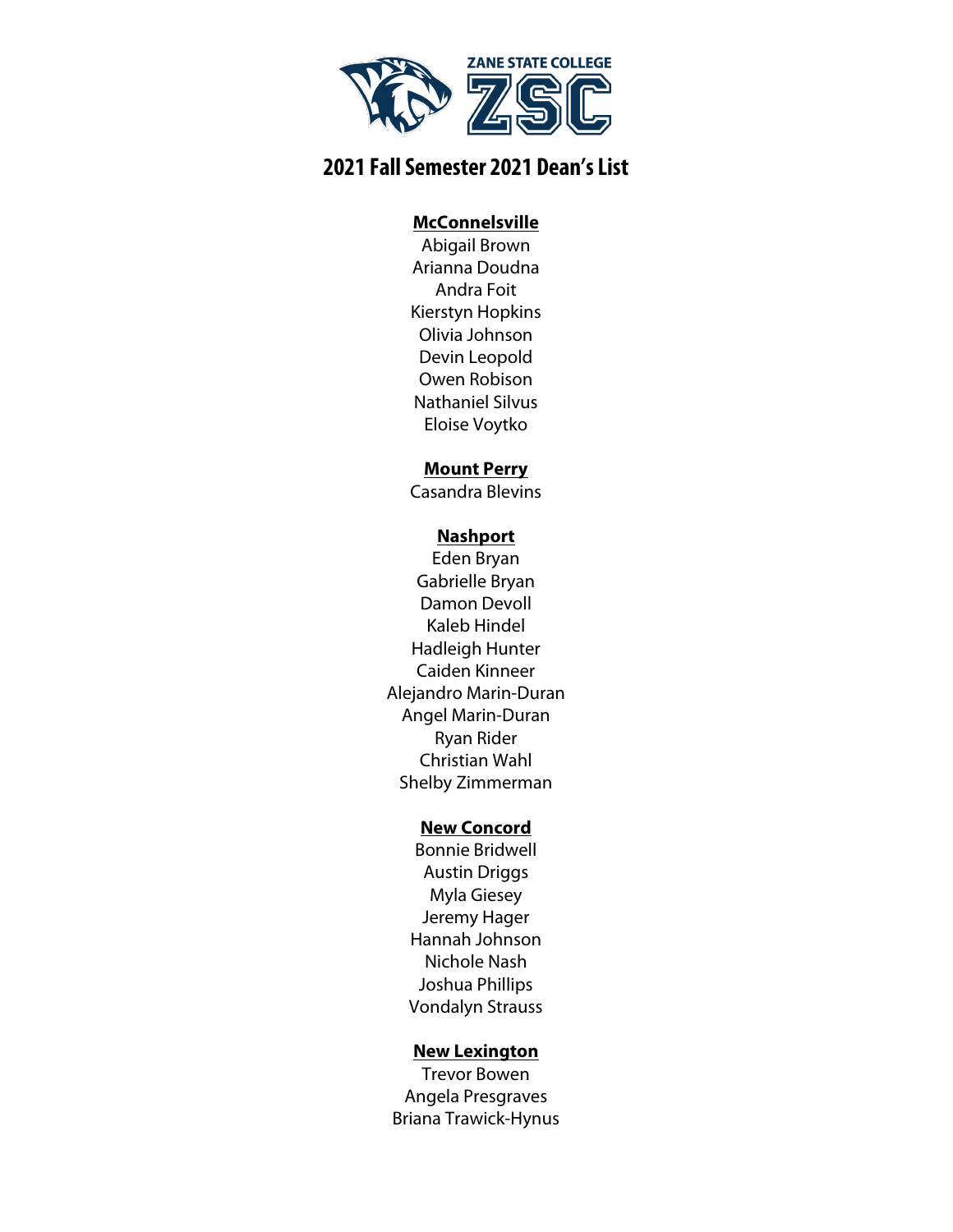

### **McConnelsville**

Abigail Brown Arianna Doudna Andra Foit Kierstyn Hopkins Olivia Johnson Devin Leopold Owen Robison Nathaniel Silvus Eloise Voytko

#### **Mount Perry**

Casandra Blevins

### **Nashport**

Eden Bryan Gabrielle Bryan Damon Devoll Kaleb Hindel Hadleigh Hunter Caiden Kinneer Alejandro Marin-Duran Angel Marin-Duran Ryan Rider Christian Wahl Shelby Zimmerman

#### **New Concord**

Bonnie Bridwell Austin Driggs Myla Giesey Jeremy Hager Hannah Johnson Nichole Nash Joshua Phillips Vondalyn Strauss

#### **New Lexington**

Trevor Bowen Angela Presgraves Briana Trawick-Hynus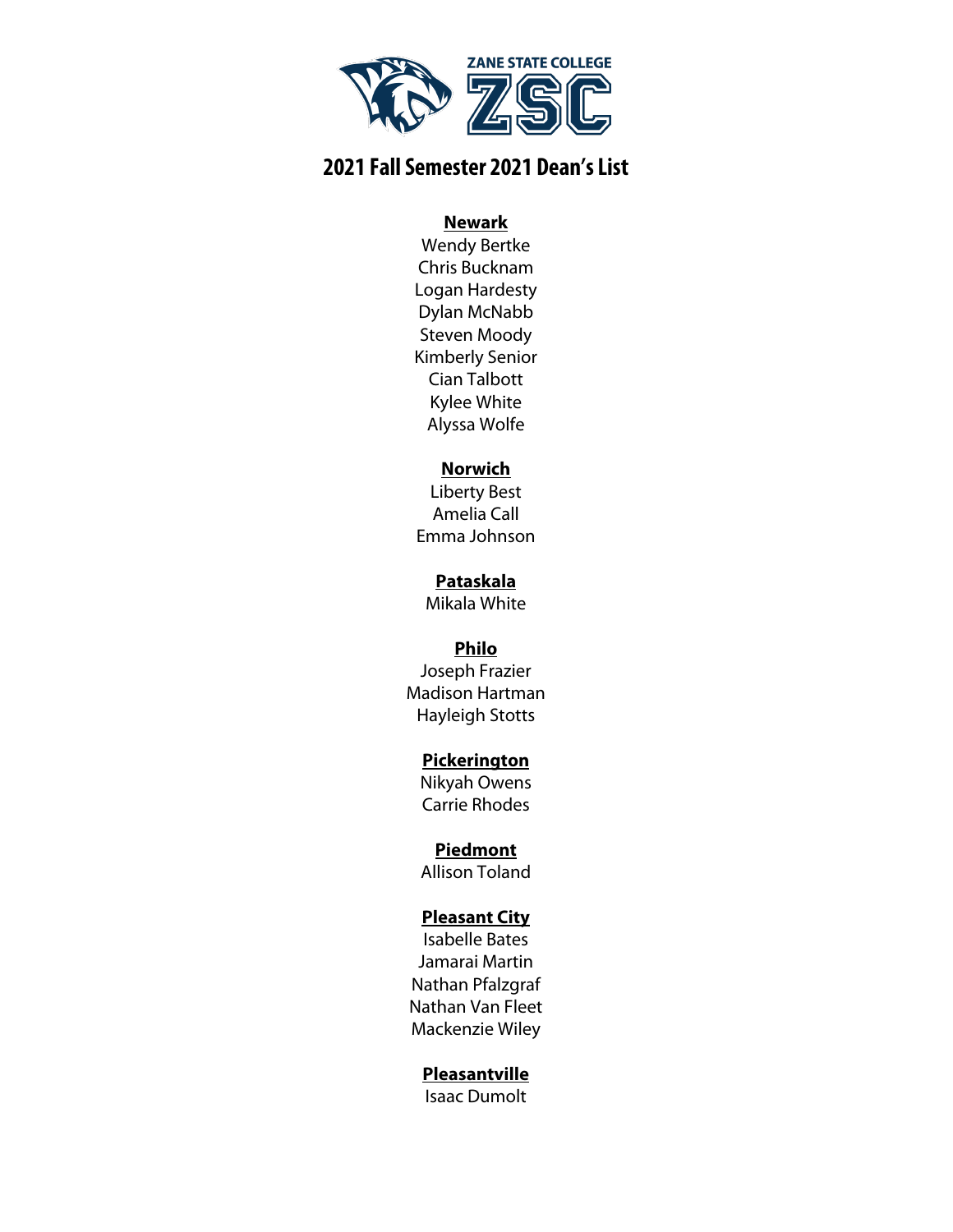

#### **Newark**

Wendy Bertke Chris Bucknam Logan Hardesty Dylan McNabb Steven Moody Kimberly Senior Cian Talbott Kylee White Alyssa Wolfe

### **Norwich**

Liberty Best Amelia Call Emma Johnson

## **Pataskala**

Mikala White

## **Philo**

Joseph Frazier Madison Hartman Hayleigh Stotts

### **Pickerington**

Nikyah Owens Carrie Rhodes

## **Piedmont**

Allison Toland

## **Pleasant City**

Isabelle Bates Jamarai Martin Nathan Pfalzgraf Nathan Van Fleet Mackenzie Wiley

## **Pleasantville**

Isaac Dumolt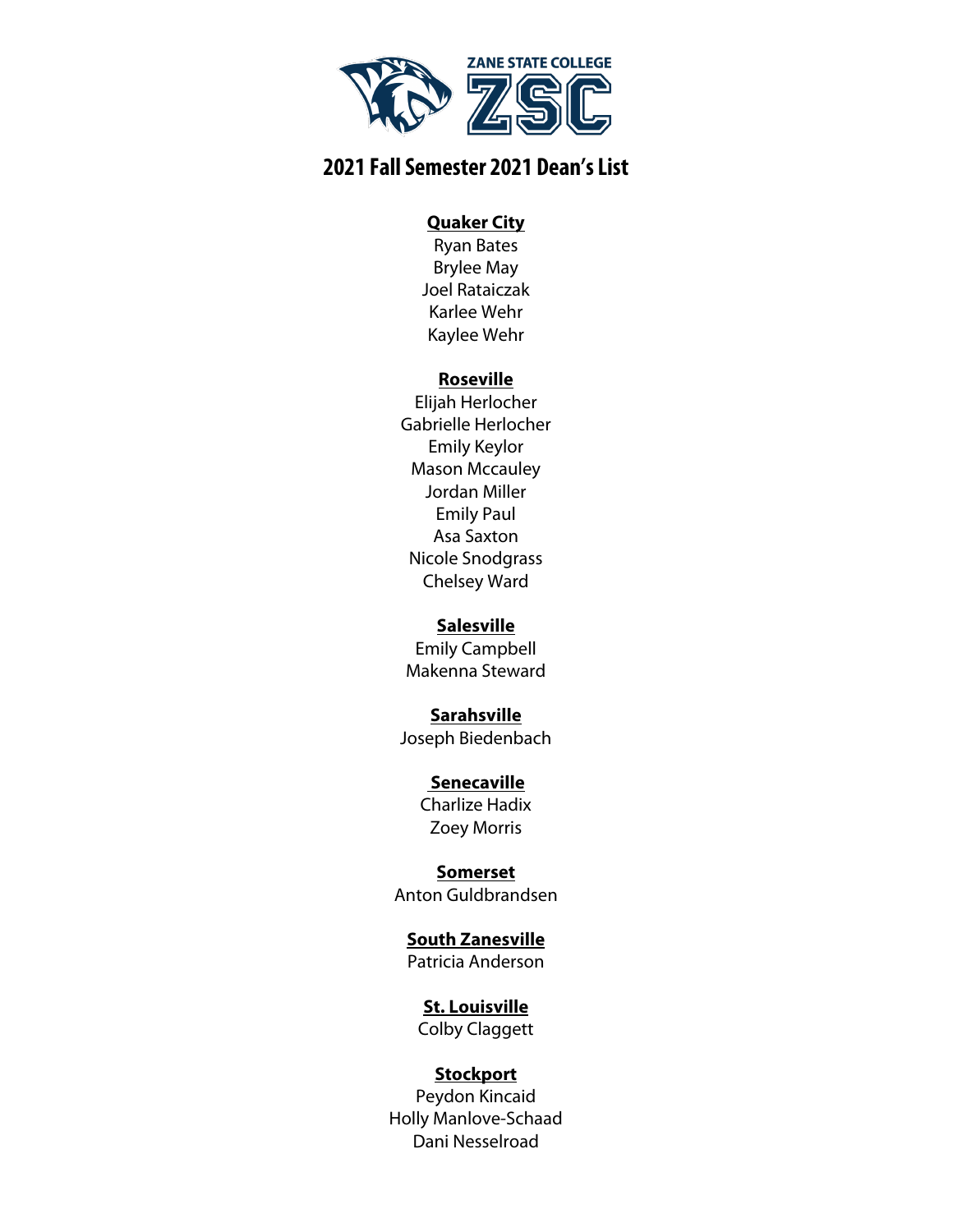

## **Quaker City**

Ryan Bates Brylee May Joel Rataiczak Karlee Wehr Kaylee Wehr

## **Roseville**

Elijah Herlocher Gabrielle Herlocher Emily Keylor Mason Mccauley Jordan Miller Emily Paul Asa Saxton Nicole Snodgrass Chelsey Ward

## **Salesville**

Emily Campbell Makenna Steward

**Sarahsville** Joseph Biedenbach

# **Senecaville**

Charlize Hadix Zoey Morris

**Somerset** Anton Guldbrandsen

# **South Zanesville**

Patricia Anderson

**St. Louisville** Colby Claggett

## **Stockport**

Peydon Kincaid Holly Manlove-Schaad Dani Nesselroad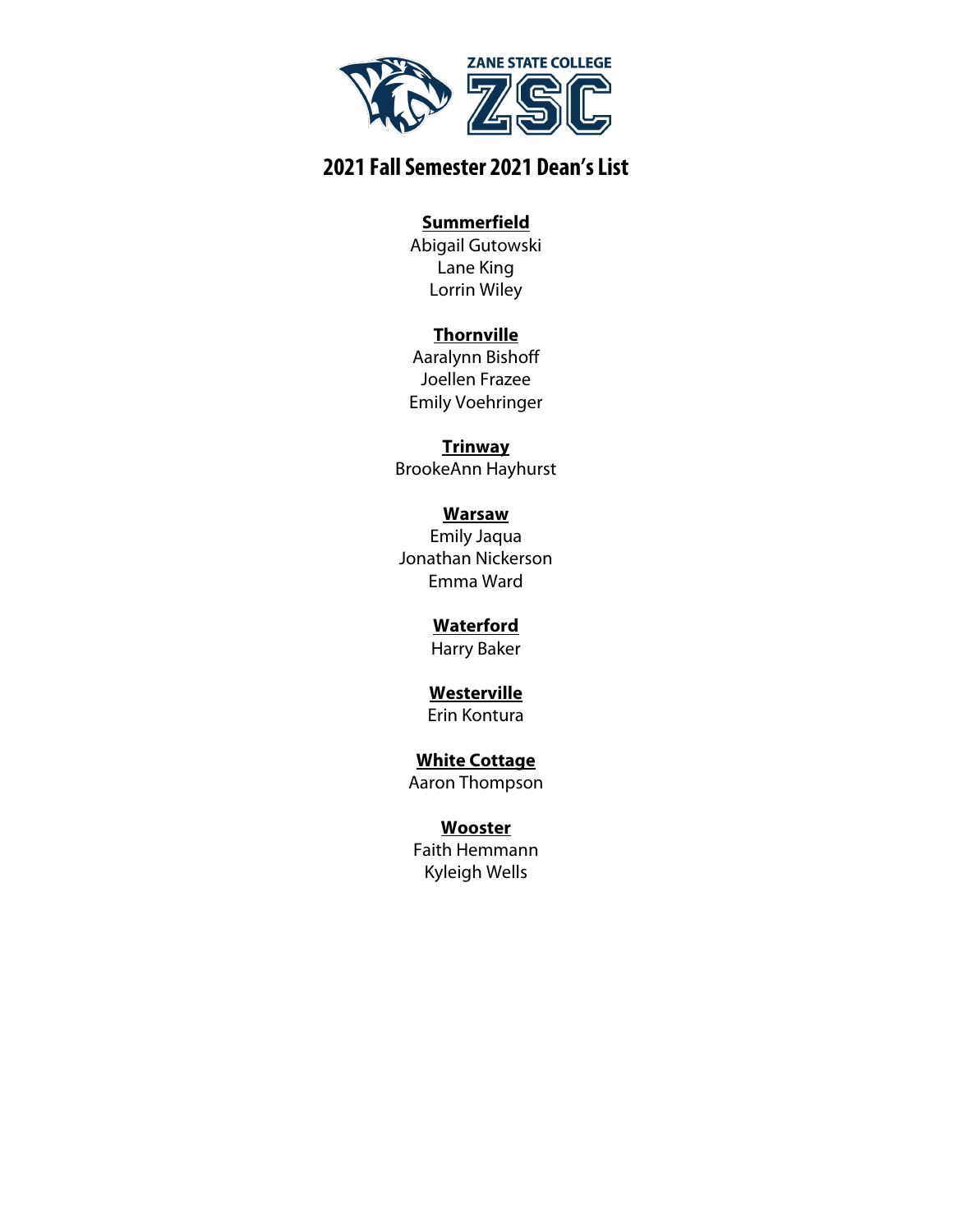

### **Summerfield**

Abigail Gutowski Lane King Lorrin Wiley

## **Thornville**

Aaralynn Bishoff Joellen Frazee Emily Voehringer

**Trinway** BrookeAnn Hayhurst

## **Warsaw**

Emily Jaqua Jonathan Nickerson Emma Ward

## **Waterford**

Harry Baker

# **Westerville**

Erin Kontura

## **White Cottage**

Aaron Thompson

## **Wooster**

Faith Hemmann Kyleigh Wells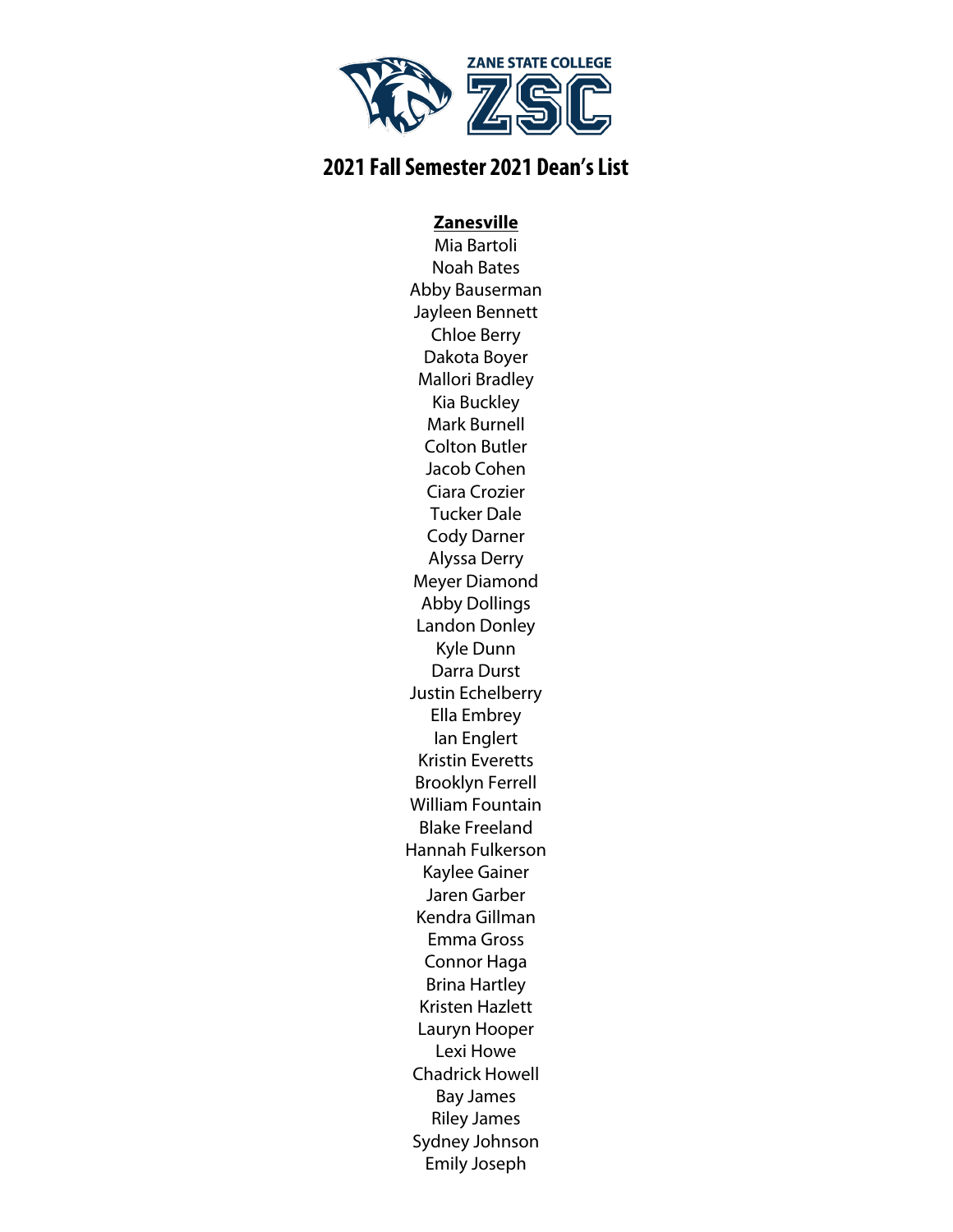

**Zanesville**

Mia Bartoli Noah Bates Abby Bauserman Jayleen Bennett Chloe Berry Dakota Boyer Mallori Bradley Kia Buckley Mark Burnell Colton Butler Jacob Cohen Ciara Crozier Tucker Dale Cody Darner Alyssa Derry Meyer Diamond Abby Dollings Landon Donley Kyle Dunn Darra Durst Justin Echelberry Ella Embrey Ian Englert Kristin Everetts Brooklyn Ferrell William Fountain Blake Freeland Hannah Fulkerson Kaylee Gainer Jaren Garber Kendra Gillman Emma Gross Connor Haga Brina Hartley Kristen Hazlett Lauryn Hooper Lexi Howe Chadrick Howell Bay James Riley James Sydney Johnson Emily Joseph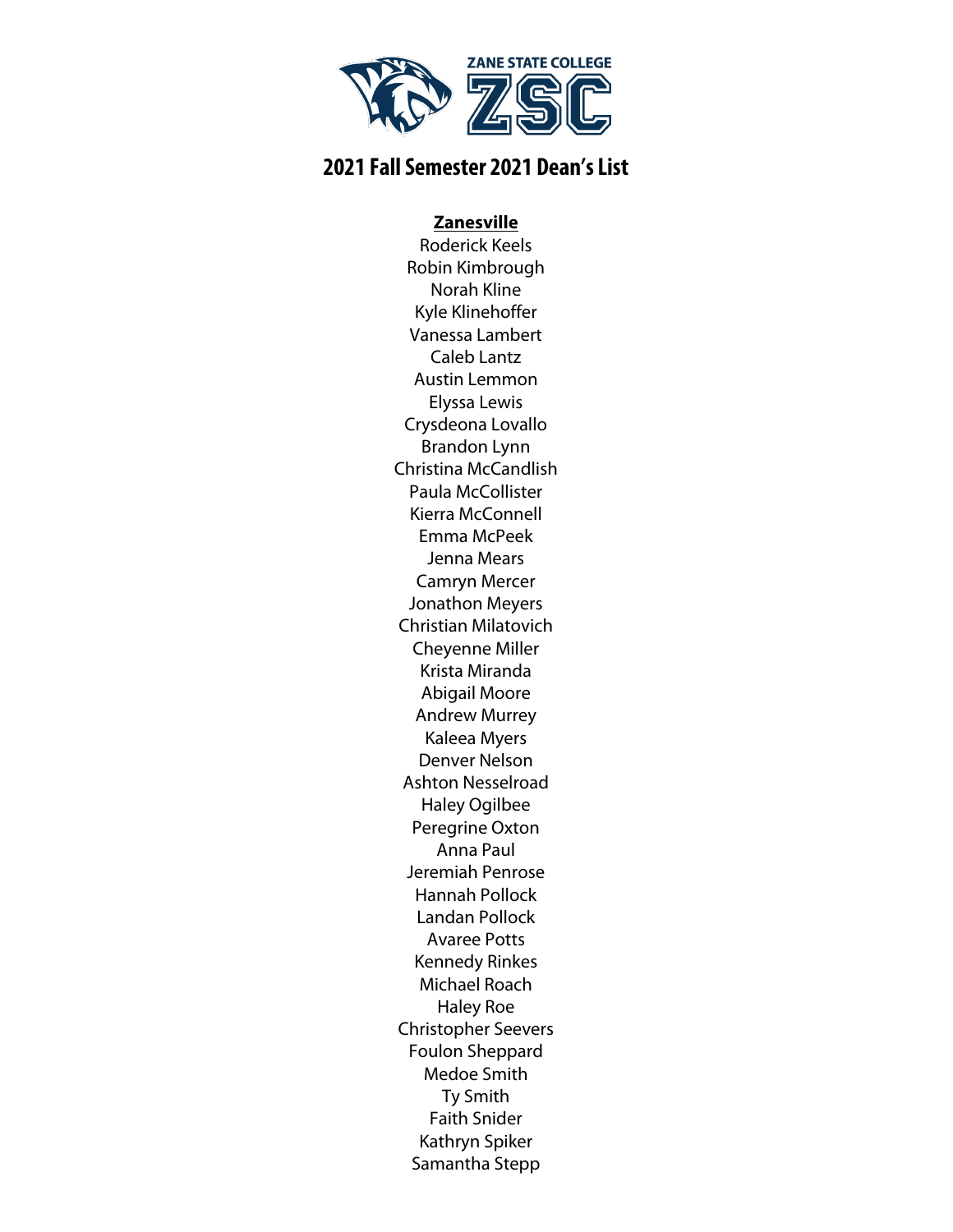

**Zanesville**

Roderick Keels Robin Kimbrough Norah Kline Kyle Klinehoffer Vanessa Lambert Caleb Lantz Austin Lemmon Elyssa Lewis Crysdeona Lovallo Brandon Lynn Christina McCandlish Paula McCollister Kierra McConnell Emma McPeek Jenna Mears Camryn Mercer Jonathon Meyers Christian Milatovich Cheyenne Miller Krista Miranda Abigail Moore Andrew Murrey Kaleea Myers Denver Nelson Ashton Nesselroad Haley Ogilbee Peregrine Oxton Anna Paul Jeremiah Penrose Hannah Pollock Landan Pollock Avaree Potts Kennedy Rinkes Michael Roach Haley Roe Christopher Seevers Foulon Sheppard Medoe Smith Ty Smith Faith Snider Kathryn Spiker Samantha Stepp